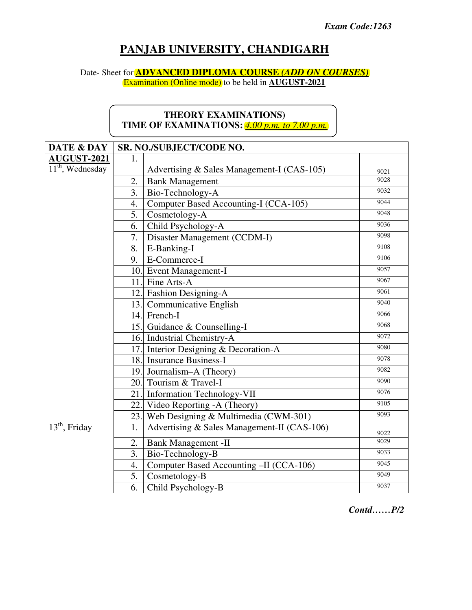# **PANJAB UNIVERSITY, CHANDIGARH**

## Date- Sheet for **ADVANCED DIPLOMA COURSE** *(ADD ON COURSES)*

Examination (Online mode) to be held in **AUGUST-2021**

## **THEORY EXAMINATIONS) TIME OF EXAMINATIONS:** *4.00 p.m. to 7.00 p.m.*

| DATE & DAY         | SR. NO./SUBJECT/CODE NO. |                                             |      |
|--------------------|--------------------------|---------------------------------------------|------|
| <b>AUGUST-2021</b> | 1.                       |                                             |      |
| $11th$ , Wednesday |                          | Advertising & Sales Management-I (CAS-105)  | 9021 |
|                    | 2.                       | <b>Bank Management</b>                      | 9028 |
|                    | 3.                       | Bio-Technology-A                            | 9032 |
|                    | 4.                       | Computer Based Accounting-I (CCA-105)       | 9044 |
|                    | 5.                       | Cosmetology-A                               | 9048 |
|                    | 6.                       | Child Psychology-A                          | 9036 |
|                    | 7.                       | Disaster Management (CCDM-I)                | 9098 |
|                    | 8.                       | E-Banking-I                                 | 9108 |
|                    |                          | 9. E-Commerce-I                             | 9106 |
|                    |                          | 10. Event Management-I                      | 9057 |
|                    |                          | 11. Fine Arts-A                             | 9067 |
|                    |                          | 12. Fashion Designing-A                     | 9061 |
|                    |                          | 13. Communicative English                   | 9040 |
|                    |                          | 14. French-I                                | 9066 |
|                    |                          | 15. Guidance & Counselling-I                | 9068 |
|                    |                          | 16. Industrial Chemistry-A                  | 9072 |
|                    |                          | 17. Interior Designing & Decoration-A       | 9080 |
|                    |                          | 18. Insurance Business-I                    | 9078 |
|                    |                          | 19. Journalism-A (Theory)                   | 9082 |
|                    |                          | 20. Tourism & Travel-I                      | 9090 |
|                    |                          | 21. Information Technology-VII              | 9076 |
|                    |                          | 22. Video Reporting - A (Theory)            | 9105 |
|                    |                          | 23. Web Designing & Multimedia (CWM-301)    | 9093 |
| $13th$ , Friday    | 1.                       | Advertising & Sales Management-II (CAS-106) | 9022 |
|                    | 2.                       | <b>Bank Management -II</b>                  | 9029 |
|                    | 3.                       | Bio-Technology-B                            | 9033 |
|                    | 4.                       | Computer Based Accounting -II (CCA-106)     | 9045 |
|                    | 5.                       | Cosmetology-B                               | 9049 |
|                    | 6.                       | Child Psychology-B                          | 9037 |

*Contd……P/2*